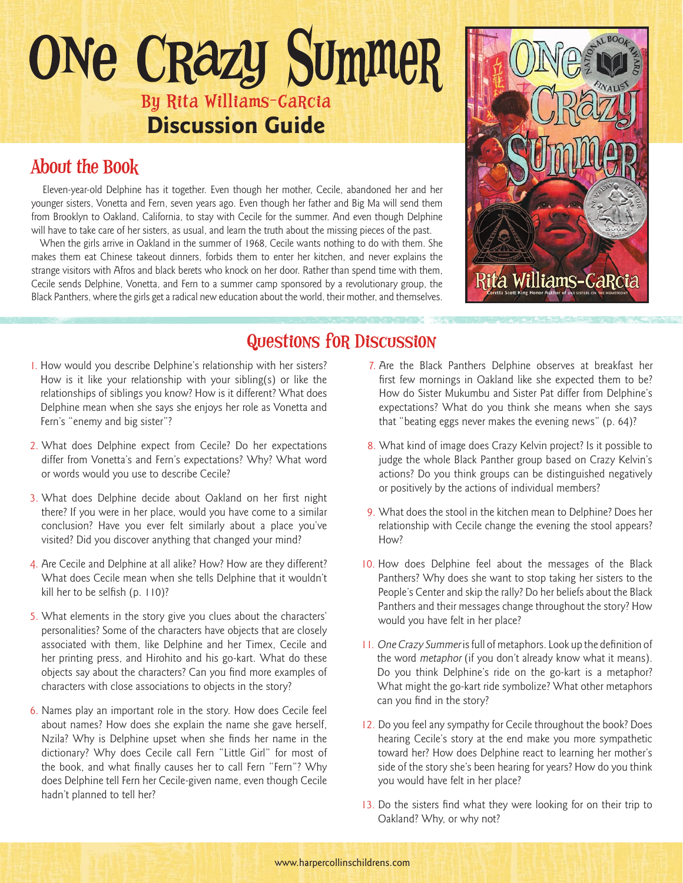# ONe CRazy Summer By Rita Williams-Garcia **Discussion Guide**

## About the Book

 Eleven-year-old Delphine has it together. Even though her mother, Cecile, abandoned her and her younger sisters, Vonetta and Fern, seven years ago. Even though her father and Big Ma will send them from Brooklyn to Oakland, California, to stay with Cecile for the summer. And even though Delphine will have to take care of her sisters, as usual, and learn the truth about the missing pieces of the past.

 When the girls arrive in Oakland in the summer of 1968, Cecile wants nothing to do with them. She makes them eat Chinese takeout dinners, forbids them to enter her kitchen, and never explains the strange visitors with Afros and black berets who knock on her door. Rather than spend time with them, Cecile sends Delphine, Vonetta, and Fern to a summer camp sponsored by a revolutionary group, the Black Panthers, where the girls get a radical new education about the world, their mother, and themselves.



#### Questions for Discussion

- 1. How would you describe Delphine's relationship with her sisters? How is it like your relationship with your sibling(s) or like the relationships of siblings you know? How is it different? What does Delphine mean when she says she enjoys her role as Vonetta and Fern's "enemy and big sister"?
- 2. What does Delphine expect from Cecile? Do her expectations differ from Vonetta's and Fern's expectations? Why? What word or words would you use to describe Cecile?
- 3. What does Delphine decide about Oakland on her first night there? If you were in her place, would you have come to a similar conclusion? Have you ever felt similarly about a place you've visited? Did you discover anything that changed your mind?
- 4. Are Cecile and Delphine at all alike? How? How are they different? What does Cecile mean when she tells Delphine that it wouldn't kill her to be selfish (p. 110)?
- 5. What elements in the story give you clues about the characters' personalities? Some of the characters have objects that are closely associated with them, like Delphine and her Timex, Cecile and her printing press, and Hirohito and his go-kart. What do these objects say about the characters? Can you find more examples of characters with close associations to objects in the story?
- 6. Names play an important role in the story. How does Cecile feel about names? How does she explain the name she gave herself, Nzila? Why is Delphine upset when she finds her name in the dictionary? Why does Cecile call Fern "Little Girl" for most of the book, and what finally causes her to call Fern "Fern"? Why does Delphine tell Fern her Cecile-given name, even though Cecile hadn't planned to tell her?
- 7. Are the Black Panthers Delphine observes at breakfast her first few mornings in Oakland like she expected them to be? How do Sister Mukumbu and Sister Pat differ from Delphine's expectations? What do you think she means when she says that "beating eggs never makes the evening news" (p. 64)?
- 8. What kind of image does Crazy Kelvin project? Is it possible to judge the whole Black Panther group based on Crazy Kelvin's actions? Do you think groups can be distinguished negatively or positively by the actions of individual members?
- 9. What does the stool in the kitchen mean to Delphine? Does her relationship with Cecile change the evening the stool appears? How?
- 10. How does Delphine feel about the messages of the Black Panthers? Why does she want to stop taking her sisters to the People's Center and skip the rally? Do her beliefs about the Black Panthers and their messages change throughout the story? How would you have felt in her place?
- 11. One Crazy Summer is full of metaphors. Look up the definition of the word metaphor (if you don't already know what it means). Do you think Delphine's ride on the go-kart is a metaphor? What might the go-kart ride symbolize? What other metaphors can you find in the story?
- 12. Do you feel any sympathy for Cecile throughout the book? Does hearing Cecile's story at the end make you more sympathetic toward her? How does Delphine react to learning her mother's side of the story she's been hearing for years? How do you think you would have felt in her place?
- 13. Do the sisters find what they were looking for on their trip to Oakland? Why, or why not?